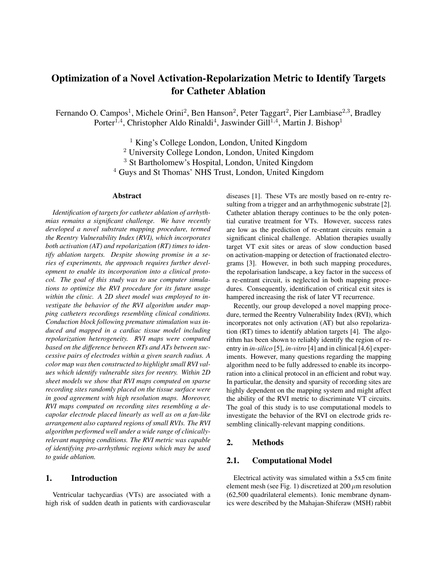# Optimization of a Novel Activation-Repolarization Metric to Identify Targets for Catheter Ablation

Fernando O. Campos<sup>1</sup>, Michele Orini<sup>2</sup>, Ben Hanson<sup>2</sup>, Peter Taggart<sup>2</sup>, Pier Lambiase<sup>2,3</sup>, Bradley Porter<sup>1,4</sup>, Christopher Aldo Rinaldi<sup>4</sup>, Jaswinder Gill<sup>1,4</sup>, Martin J. Bishop<sup>1</sup>

> King's College London, London, United Kingdom University College London, London, United Kingdom St Bartholomew's Hospital, London, United Kingdom Guys and St Thomas' NHS Trust, London, United Kingdom

#### Abstract

*Identification of targets for catheter ablation of arrhythmias remains a significant challenge. We have recently developed a novel substrate mapping procedure, termed the Reentry Vulnerability Index (RVI), which incorporates both activation (AT) and repolarization (RT) times to identify ablation targets. Despite showing promise in a series of experiments, the approach requires further development to enable its incorporation into a clinical protocol. The goal of this study was to use computer simulations to optimize the RVI procedure for its future usage within the clinic. A 2D sheet model was employed to investigate the behavior of the RVI algorithm under mapping catheters recordings resembling clinical conditions. Conduction block following premature stimulation was induced and mapped in a cardiac tissue model including repolarization heterogeneity. RVI maps were computed based on the difference between RTs and ATs between successive pairs of electrodes within a given search radius. A color map was then constructed to highlight small RVI values which identify vulnerable sites for reentry. Within 2D sheet models we show that RVI maps computed on sparse recording sites randomly placed on the tissue surface were in good agreement with high resolution maps. Moreover, RVI maps computed on recording sites resembling a decapolar electrode placed linearly as well as on a fan-like arrangement also captured regions of small RVIs. The RVI algorithm performed well under a wide range of clinicallyrelevant mapping conditions. The RVI metric was capable of identifying pro-arrhythmic regions which may be used to guide ablation.*

#### 1. Introduction

Ventricular tachycardias (VTs) are associated with a high risk of sudden death in patients with cardiovascular diseases [1]. These VTs are mostly based on re-entry resulting from a trigger and an arrhythmogenic substrate [2]. Catheter ablation therapy continues to be the only potential curative treatment for VTs. However, success rates are low as the prediction of re-entrant circuits remain a significant clinical challenge. Ablation therapies usually target VT exit sites or areas of slow conduction based on activation-mapping or detection of fractionated electrograms [3]. However, in both such mapping procedures, the repolarisation landscape, a key factor in the success of a re-entrant circuit, is neglected in both mapping procedures. Consequently, identification of critical exit sites is hampered increasing the risk of later VT recurrence.

Recently, our group developed a novel mapping procedure, termed the Reentry Vulnerability Index (RVI), which incorporates not only activation (AT) but also repolarization (RT) times to identify ablation targets [4]. The algorithm has been shown to reliably identify the region of reentry in *in-silico* [5], *in-vitro* [4] and in clinical [4,6] experiments. However, many questions regarding the mapping algorithm need to be fully addressed to enable its incorporation into a clinical protocol in an efficient and robut way. In particular, the density and sparsity of recording sites are highly dependent on the mapping system and might affect the ability of the RVI metric to discriminate VT circuits. The goal of this study is to use computational models to investigate the behavior of the RVI on electrode grids resembling clinically-relevant mapping conditions.

## 2. Methods

#### 2.1. Computational Model

Electrical activity was simulated within a 5x5 cm finite element mesh (see Fig. 1) discretized at  $200 \mu m$  resolution (62,500 quadrilateral elements). Ionic membrane dynamics were described by the Mahajan-Shiferaw (MSH) rabbit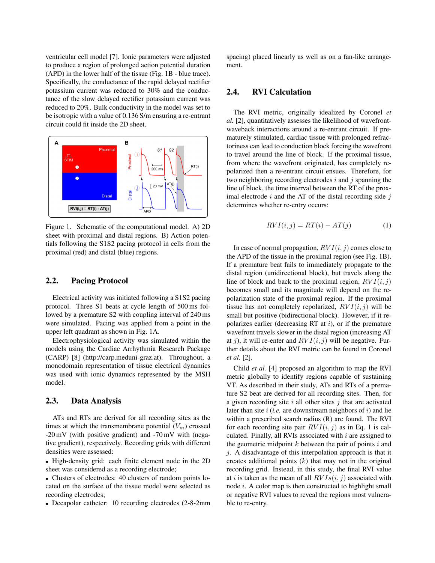ventricular cell model [7]. Ionic parameters were adjusted to produce a region of prolonged action potential duration (APD) in the lower half of the tissue (Fig. 1B - blue trace). Specifically, the conductance of the rapid delayed rectifier potassium current was reduced to 30% and the conductance of the slow delayed rectifier potassium current was reduced to 20%. Bulk conductivity in the model was set to be isotropic with a value of 0.136 S/m ensuring a re-entrant circuit could fit inside the 2D sheet.



Figure 1. Schematic of the computational model. A) 2D sheet with proximal and distal regions. B) Action potentials following the S1S2 pacing protocol in cells from the proximal (red) and distal (blue) regions.

## 2.2. Pacing Protocol

Electrical activity was initiated following a S1S2 pacing protocol. Three S1 beats at cycle length of 500 ms followed by a premature S2 with coupling interval of 240 ms were simulated. Pacing was applied from a point in the upper left quadrant as shown in Fig. 1A.

Electrophysiological activity was simulated within the models using the Cardiac Arrhythmia Research Package (CARP) [8] (http://carp.meduni-graz.at). Throughout, a monodomain representation of tissue electrical dynamics was used with ionic dynamics represented by the MSH model.

## 2.3. Data Analysis

ATs and RTs are derived for all recording sites as the times at which the transmembrane potential  $(V_m)$  crossed -20 mV (with positive gradient) and -70 mV with (negative gradient), respectively. Recording grids with different densities were assessed:

• High-density grid: each finite element node in the 2D sheet was considered as a recording electrode;

• Clusters of electrodes: 40 clusters of random points located on the surface of the tissue model were selected as recording electrodes;

• Decapolar catheter: 10 recording electrodes (2-8-2mm

spacing) placed linearly as well as on a fan-like arrangement.

# 2.4. RVI Calculation

The RVI metric, originally idealized by Coronel *et al.* [2], quantitatively assesses the likelihood of wavefrontwaveback interactions around a re-entrant circuit. If prematurely stimulated, cardiac tissue with prolonged refractoriness can lead to conduction block forcing the wavefront to travel around the line of block. If the proximal tissue, from where the wavefront originated, has completely repolarized then a re-entrant circuit ensues. Therefore, for two neighboring recording electrodes  $i$  and  $j$  spanning the line of block, the time interval between the RT of the proximal electrode  $i$  and the AT of the distal recording side  $j$ determines whether re-entry occurs:

$$
RVI(i,j) = RT(i) - AT(j)
$$
 (1)

In case of normal propagation,  $RVI(i, j)$  comes close to the APD of the tissue in the proximal region (see Fig. 1B). If a premature beat fails to immediately propagate to the distal region (unidirectional block), but travels along the line of block and back to the proximal region,  $RVI(i, j)$ becomes small and its magnitude will depend on the repolarization state of the proximal region. If the proximal tissue has not completely repolarized,  $RVI(i, j)$  will be small but positive (bidirectional block). However, if it repolarizes earlier (decreasing RT at  $i$ ), or if the premature wavefront travels slower in the distal region (increasing AT at j), it will re-enter and  $RVI(i, j)$  will be negative. Further details about the RVI metric can be found in Coronel *et al.* [2].

Child *et al.* [4] proposed an algorithm to map the RVI metric globally to identify regions capable of sustaining VT. As described in their study, ATs and RTs of a premature S2 beat are derived for all recording sites. Then, for a given recording site  $i$  all other sites  $j$  that are activated later than site  $i$  (*i.e.* are downstream neighbors of  $i$ ) and lie within a prescribed search radius (R) are found. The RVI for each recording site pair  $RVI(i, j)$  as in Eq. 1 is calculated. Finally, all RVIs associated with  $i$  are assigned to the geometric midpoint  $k$  between the pair of points  $i$  and  $j$ . A disadvantage of this interpolation approach is that it creates additional points  $(k)$  that may not in the original recording grid. Instead, in this study, the final RVI value at i is taken as the mean of all  $RVIs(i, j)$  associated with node i. A color map is then constructed to highlight small or negative RVI values to reveal the regions most vulnerable to re-entry.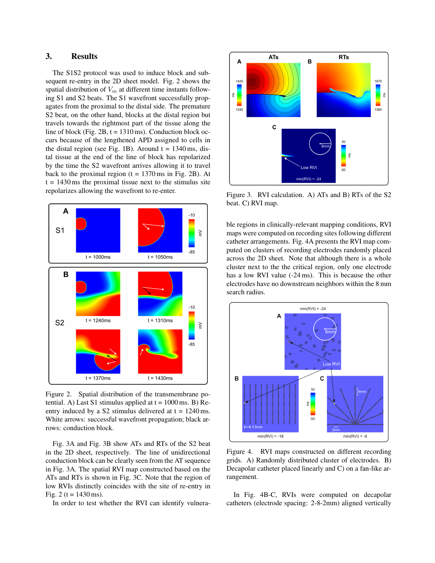# 3. Results

The S1S2 protocol was used to induce block and subsequent re-entry in the 2D sheet model. Fig. 2 shows the spatial distribution of  $V_m$  at different time instants following S1 and S2 beats. The S1 wavefront successfully propagates from the proximal to the distal side. The premature S2 beat, on the other hand, blocks at the distal region but travels towards the rightmost part of the tissue along the line of block (Fig.  $2B$ ,  $t = 1310 \text{ ms}$ ). Conduction block occurs because of the lengthened APD assigned to cells in the distal region (see Fig. 1B). Around  $t = 1340$  ms, distal tissue at the end of the line of block has repolarized by the time the S2 wavefront arrives allowing it to travel back to the proximal region  $(t = 1370 \text{ ms in Fig. 2B})$ . At  $t = 1430$  ms the proximal tissue next to the stimulus site repolarizes allowing the wavefront to re-enter.



Figure 2. Spatial distribution of the transmembrane potential. A) Last S1 stimulus applied at  $t = 1000$  ms. B) Reentry induced by a S2 stimulus delivered at  $t = 1240$  ms. White arrows: successful wavefront propagation; black arrows: conduction block.

Fig. 3A and Fig. 3B show ATs and RTs of the S2 beat in the 2D sheet, respectively. The line of unidirectional conduction block can be clearly seen from the AT sequence in Fig. 3A. The spatial RVI map constructed based on the ATs and RTs is shown in Fig. 3C. Note that the region of low RVIs distinctly coincides with the site of re-entry in Fig. 2 ( $t = 1430$  ms).

In order to test whether the RVI can identify vulnera-



Figure 3. RVI calculation. A) ATs and B) RTs of the S2 beat. C) RVI map.

ble regions in clinically-relevant mapping conditions, RVI maps were computed on recording sites following different catheter arrangements. Fig. 4A presents the RVI map computed on clusters of recording electrodes randomly placed across the 2D sheet. Note that although there is a whole cluster next to the the critical region, only one electrode has a low RVI value (-24 ms). This is because the other electrodes have no downstream neighbors within the 8 mm search radius.



Figure 4. RVI maps constructed on different recording grids. A) Randomly distributed cluster of electrodes. B) Decapolar catheter placed linearly and C) on a fan-like arrangement.

In Fig. 4B-C, RVIs were computed on decapolar catheters (electrode spacing: 2-8-2mm) aligned vertically